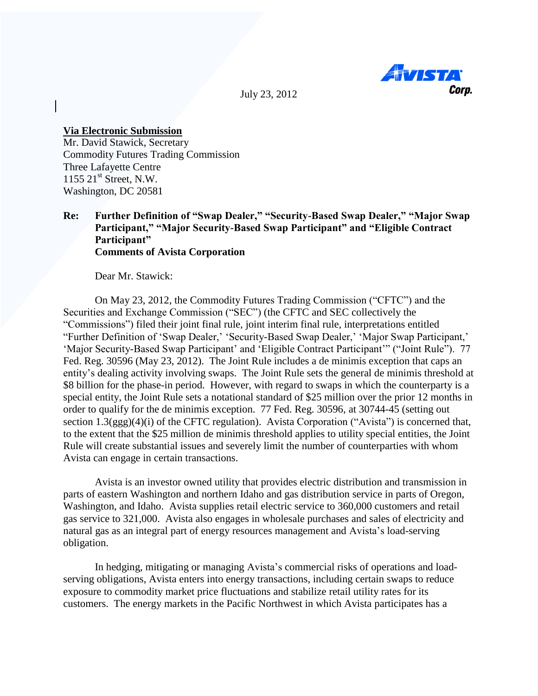

July 23, 2012

## **Via Electronic Submission**

Mr. David Stawick, Secretary Commodity Futures Trading Commission Three Lafayette Centre  $1155$   $21<sup>st</sup>$  Street, N.W. Washington, DC 20581

## **Re: Further Definition of "Swap Dealer," "Security-Based Swap Dealer," "Major Swap Participant," "Major Security-Based Swap Participant" and "Eligible Contract Participant" Comments of Avista Corporation**

Dear Mr. Stawick:

On May 23, 2012, the Commodity Futures Trading Commission ("CFTC") and the Securities and Exchange Commission ("SEC") (the CFTC and SEC collectively the "Commissions") filed their joint final rule, joint interim final rule, interpretations entitled "Further Definition of 'Swap Dealer,' 'Security-Based Swap Dealer,' 'Major Swap Participant,' "Major Security-Based Swap Participant" and "Eligible Contract Participant"" ("Joint Rule"). 77 Fed. Reg. 30596 (May 23, 2012). The Joint Rule includes a de minimis exception that caps an entity"s dealing activity involving swaps. The Joint Rule sets the general de minimis threshold at \$8 billion for the phase-in period. However, with regard to swaps in which the counterparty is a special entity, the Joint Rule sets a notational standard of \$25 million over the prior 12 months in order to qualify for the de minimis exception. 77 Fed. Reg. 30596, at 30744-45 (setting out section 1.3(ggg)(4)(i) of the CFTC regulation). Avista Corporation ("Avista") is concerned that, to the extent that the \$25 million de minimis threshold applies to utility special entities, the Joint Rule will create substantial issues and severely limit the number of counterparties with whom Avista can engage in certain transactions.

Avista is an investor owned utility that provides electric distribution and transmission in parts of eastern Washington and northern Idaho and gas distribution service in parts of Oregon, Washington, and Idaho. Avista supplies retail electric service to 360,000 customers and retail gas service to 321,000. Avista also engages in wholesale purchases and sales of electricity and natural gas as an integral part of energy resources management and Avista's load-serving obligation.

In hedging, mitigating or managing Avista"s commercial risks of operations and loadserving obligations, Avista enters into energy transactions, including certain swaps to reduce exposure to commodity market price fluctuations and stabilize retail utility rates for its customers. The energy markets in the Pacific Northwest in which Avista participates has a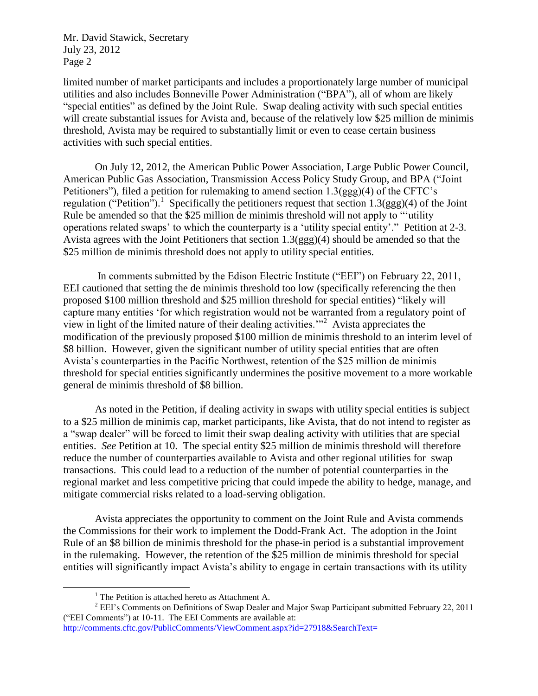Mr. David Stawick, Secretary July 23, 2012 Page 2

limited number of market participants and includes a proportionately large number of municipal utilities and also includes Bonneville Power Administration ("BPA"), all of whom are likely "special entities" as defined by the Joint Rule. Swap dealing activity with such special entities will create substantial issues for Avista and, because of the relatively low \$25 million de minimis threshold, Avista may be required to substantially limit or even to cease certain business activities with such special entities.

On July 12, 2012, the American Public Power Association, Large Public Power Council, American Public Gas Association, Transmission Access Policy Study Group, and BPA ("Joint Petitioners"), filed a petition for rulemaking to amend section  $1.3(ggg)(4)$  of the CFTC's regulation ("Petition").<sup>1</sup> Specifically the petitioners request that section 1.3(ggg)(4) of the Joint Rule be amended so that the \$25 million de minimis threshold will not apply to ""utility operations related swaps" to which the counterparty is a "utility special entity"." Petition at 2-3. Avista agrees with the Joint Petitioners that section 1.3(ggg)(4) should be amended so that the \$25 million de minimis threshold does not apply to utility special entities.

In comments submitted by the Edison Electric Institute ("EEI") on February 22, 2011, EEI cautioned that setting the de minimis threshold too low (specifically referencing the then proposed \$100 million threshold and \$25 million threshold for special entities) "likely will capture many entities "for which registration would not be warranted from a regulatory point of view in light of the limited nature of their dealing activities.""<sup>2</sup> Avista appreciates the modification of the previously proposed \$100 million de minimis threshold to an interim level of \$8 billion. However, given the significant number of utility special entities that are often Avista"s counterparties in the Pacific Northwest, retention of the \$25 million de minimis threshold for special entities significantly undermines the positive movement to a more workable general de minimis threshold of \$8 billion.

As noted in the Petition, if dealing activity in swaps with utility special entities is subject to a \$25 million de minimis cap, market participants, like Avista, that do not intend to register as a "swap dealer" will be forced to limit their swap dealing activity with utilities that are special entities. *See* Petition at 10. The special entity \$25 million de minimis threshold will therefore reduce the number of counterparties available to Avista and other regional utilities for swap transactions. This could lead to a reduction of the number of potential counterparties in the regional market and less competitive pricing that could impede the ability to hedge, manage, and mitigate commercial risks related to a load-serving obligation.

Avista appreciates the opportunity to comment on the Joint Rule and Avista commends the Commissions for their work to implement the Dodd-Frank Act. The adoption in the Joint Rule of an \$8 billion de minimis threshold for the phase-in period is a substantial improvement in the rulemaking. However, the retention of the \$25 million de minimis threshold for special entities will significantly impact Avista's ability to engage in certain transactions with its utility

 $\overline{\phantom{a}}$ 

<sup>&</sup>lt;sup>1</sup> The Petition is attached hereto as Attachment A.

 $2$  EEI's Comments on Definitions of Swap Dealer and Major Swap Participant submitted February 22, 2011 ("EEI Comments") at 10-11. The EEI Comments are available at:

http://comments.cftc.gov/PublicComments/ViewComment.aspx?id=27918&SearchText=